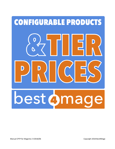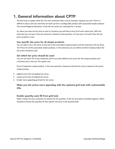# 1. General information about CPTP

The best way to explain what this Tier Price extension does is by an example. Suppose you sell T-Shirts in different colours and size and those are built up from a configurable product with associated simple products. The normal Magento behaviour is that the tier prices are calculated for 1 variant.

So, when you have set tier price to start at 10 pieces you will have to buy 10 of each colour/size. With this extension you can buy in the mix and price is based on total quantity, so if you buy 5 red and 5 blue the tier price condition is met.

## Use specific tier price for all simple products

You are able to set a Tier price at only one of the associated simple products and the extension will use these Tier Prices for all the associated simple products. In the extension you can define of which simple product the tier prices should be used.

## Set which tier price should be used

You can set which Tier Prices should be used if you have different tier prices for the simple products and customers buy in the mix. The options are:

Price of respective simple product. In this case quantity is based on total but tier price is based on the actual simple product.

- Highest price from all applied tier prices.
- Lowest price from all applied tier prices.
- Enable more appealing grid look for tier prices

# Make you tier prices more appealing with the optional grid look with customizable title

# Enable quantity auto fill from grid look

Make it easier for your customers to choose the tier quantity. In the tier price grid a checkbox appears. When checked it will put the quantity for that specific tier price in the quantity field.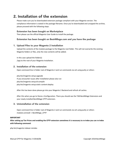# 2. Installation of the extension

Please make sure you've downloaded extension package compliant with your Magento version. The compliance information is stated in the package filename. Once you've downloaded and unzipped the archive, please proceed with the following steps:

## Extension has been bought on Marketplace

Then please use the official Magento User Guide to install the package.

# Extension has been bought on Best4Mage.com and you have the package

### 1. Upload Files to your Magento 2 Installation

Upload the contents of the module package to the Magento root folder. This will not overwrite the existing Magento folders or files, only the new contents will be added.

In this case upload the folder(s) /app to the root of your Magento Installation.

## 2. Installation of the extension

Open command line in folder root of Magento 2 and run commands via ssh using putty or others

php bin/magento setup:upgrade If you encounter issues after installation please also run php bin/magento setup:di:compile php bin/magento setup:static-content:deploy

After this has been done please go into your Magento 2 Backend and refresh all caches.

After this when you go to Stores->Configuration. There you should see the TAB Best4Mage Extensions and your newly installed Best4Mage CPTP extension.

### 3. Uninstallation of the extension

Open command line in folder root of Magento 2 and run commands via ssh using putty or others module:uninstall -r Best4Mage\_CPTP

#### **IMPORTANT**

**After setting up Tier Prices and enabling the CPTP extension sometimes it is necessary to re-index you can re-index with following command:**

php bin/magento indexer:reindex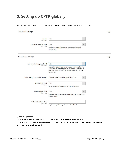# 3. Setting up CPTP globally

It is relatively easy to set up CPTP below the necessary steps to make it work on your website.

#### **General Settings**

| Enable<br>[store view]                           | Yes                                                                                                                                                                                                               |   |  |
|--------------------------------------------------|-------------------------------------------------------------------------------------------------------------------------------------------------------------------------------------------------------------------|---|--|
| <b>Enable at Product Level</b>                   | <b>No</b>                                                                                                                                                                                                         |   |  |
| [store view]                                     | Enable this option if you want to use settings for specific<br>product only.                                                                                                                                      |   |  |
| <b>Tier Price Settings</b>                       |                                                                                                                                                                                                                   |   |  |
| Use specific tier price for all                  | <b>No</b>                                                                                                                                                                                                         | ۰ |  |
| [store view]                                     | Enable this option if you want to use one simple product's tier<br>price for all other simple products. Important! Don't forget to<br>select the simple product from configurable product's CPTP<br>settings tab. |   |  |
| Which tier price should be used?<br>[store view] | Lowest price from all applied tier prices                                                                                                                                                                         |   |  |
| <b>Enable Grid Look</b>                          | Yes                                                                                                                                                                                                               |   |  |
| [store view]                                     | Do you want to show your tier prices in grid format?                                                                                                                                                              |   |  |
| <b>Enable Qty Autofill</b>                       | Yes                                                                                                                                                                                                               |   |  |
| [store view]                                     | Set yes to enable autofill functionality of the qty box with Tier<br>Price threshold.                                                                                                                             |   |  |
| <b>Title for Tier Price Grid</b>                 |                                                                                                                                                                                                                   |   |  |

### Any text for grid title e.g., Shop More Save Morel

## 1. General Settings

- Enable the extension (must be set to yes if you want CPTP functionality to be active)

- Enable at product level. **If you activate this the extension must be activated at the configurable product also, otherwise it will not work.** 

 $\odot$ 

 $\odot$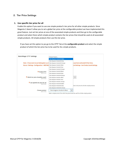# 2. Tier Price Settings

### **1. Use specific tier price for all**

Enable this option if you want to use one simple product's tier price for all other simple products. Since Magento 2 doesn't allow you to set a global tier price at the configurable product we have implemented this great feature. Just set tier prices at one of the associated simple products and then go to the configurable product and select there which simple product contains the tier prices that should be used at all associated simple products. All simple products then use this tier price.

If you have set this option to yes go to the CPTP Tab at the **configurable product** and select the simple product of which the tier price has to be used for ALL simple products.

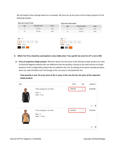We will explain these settings based on an example. We have set up tier prices at the simple products for the following hoodies:

| <b>Buy more save more!</b>                       |                       |      | <b>Buy more save more!</b>                        |                       |      |
|--------------------------------------------------|-----------------------|------|---------------------------------------------------|-----------------------|------|
| Qty                                              | <b>Price Per Unit</b> | Save | Qty                                               | <b>Price Per Unit</b> | Save |
| 5                                                | \$45.00               | 10%  | 5                                                 | \$25.00               | 52%  |
| 10                                               | \$40.00               | 20%  | 10                                                | \$20.00               | 62%  |
| Size XS<br><b>XS</b><br>M<br>S<br>Black<br>Color | XL                    |      | Size XS<br><b>XS</b><br>M<br>S<br>Color<br>Orange | XL                    |      |

- **2. Which Tier Price should be used (option is only visible when "Use specific tier price for all" is set to NO)**
- **A. Price of respective simple product.** With this option the tier prices of the selected simple product are used. So basically Magento default with one difference that the quantity is based on the total amount of simple products of this configurable product that are added to the cart. So looking at the above example products when you add 4 XS Black and 7 XS Orange to the cart price is calculated like this.

**Total quantity is over 10 so tier price of 10+ is used. In this case the tier 10+ price of the respective simple product.**

| Item |                      | Price   | Qty            | Subtotal |
|------|----------------------|---------|----------------|----------|
|      | Chaz Kangeroo Hoodie | \$40.00 | 4              | \$160.00 |
|      | Size: XS             |         |                |          |
|      | Color: Black         |         |                |          |
|      |                      |         |                | m        |
|      | Chaz Kangeroo Hoodie | \$20.00 | $\overline{7}$ | \$140.00 |
|      | Size: XS             |         |                |          |
|      | Color: Orange        |         |                |          |
|      |                      |         |                |          |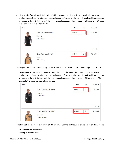**B. Highest price from all applied tier prices**. With this option the **highest tier price** of all selected simple product is used. Quantity is based on the total amount of simple products of this configurable product that are added to the cart. So looking at the above example products when you add 4 XS Black and 7 XS Orange to the cart price is calculated like this.

| Item |                      | Price   | Qty            | Subtotal |
|------|----------------------|---------|----------------|----------|
|      | Chaz Kangeroo Hoodie | \$40.00 | $\overline{4}$ | \$160.00 |
|      | Size: XS             |         |                |          |
|      | Color: Black         |         |                | 童        |
|      | Chaz Kangeroo Hoodie | \$40.00 | $\overline{7}$ | \$280.00 |
|      | Size: XS             |         |                |          |
|      | Color: Orange        |         |                |          |

The highest tier price for this quantity is \$40,- (from XS Black) so that price is used for all products in cart.

**C. Lowest price from all applied tier prices.** With this option the **lowest tier price** of all selected simple product is used. Quantity is based on the total amount of simple products of this configurable product that are added to the cart. So looking at the above example products when you add 4 XS Black and and 7 XS Orange to the cart price is calculated like this.



**The lowest tier price for this quantity is \$ 20,- (from XS Orange) so that price is used for all products in cart.**

**D. Use specific tier price for all Setting at product level**: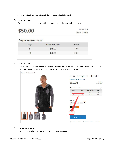**Choose the simple product of which the tier prices should be used.**

### **3. Enable Grid Look**

If you enable this the tier price table gets a more appealing grid look like below

| \$50.00                    |                       | <b>IN STOCK</b><br>SKU#: MH01 |  |
|----------------------------|-----------------------|-------------------------------|--|
| <b>Buy more save more!</b> |                       |                               |  |
| Qty                        | <b>Price Per Unit</b> | Save                          |  |
| 5                          | \$45.00               | 10%                           |  |
| 10                         | \$40.00               | 20%                           |  |

#### **4. Enable Qty Autofill**

When this option is enabled there will be radio buttons before tier price values. When customer selects this the corresponding quantity is automatically filled in the quantity box.



### **5. Title for Tier Price Grid**

Here you can place the title for the tier price grid you need.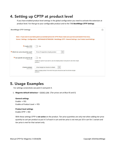# 4. Setting up CPTP at product level

If you have enabled product level settings in the global configuration you need to activate the extension at product level. For that go to your configurable product and to the TAB **Best4Mage CPTP Settings**

| <b>Best4Mage CPTP Settings</b>                     |                                                                                                                                                                                                                                                     | $(\sim)$ |
|----------------------------------------------------|-----------------------------------------------------------------------------------------------------------------------------------------------------------------------------------------------------------------------------------------------------|----------|
|                                                    | Note :: If you want to use below given (*) marked options for CPTP, Please make sure you have activated it from here,<br>Stores > Settings - Configuration > BEST4MAGE EXTENSIONS - Best4Mage CPTP > General Settings - Use Product Level Settings. |          |
| * Enable CPTP<br>[store view]                      | <b>No</b>                                                                                                                                                                                                                                           |          |
| * Which tier price should be used?<br>[store view] | Price of respective simple product<br>$\blacktriangledown$                                                                                                                                                                                          |          |
| * Use specific tier price for all<br>[store view]  | <b>No</b><br>Enable this option if you want to use one simple product's tier price for all other simple<br>products.                                                                                                                                |          |
| Choose product<br>[store view]                     | Chaz Kangeroo Hoodie-XS-Black<br>$\mathbf{v}$<br>Select a simple product from which tier price should be used for all other simple<br>products.                                                                                                     |          |

# 5. Usage Examples

For settings screenshots see point 3 and point 4.

1. **Magento default behaviour – [DEMO LINK](https://demo-m2-1.best4mage-demo.com/tier-prices-magento-default-setup.html)** (Tier prices set at Blue XS and S)

```
General settings
Enable -> YES
Enable at Product Level -> YES
```
## **Product level settings**

Enable CPTP -> NO

With these settings CPTP is **not active** on the product. Tier price quantities are only met when adding tier price quantity to cart per product so put in 5 of each in cart and tier price is not met put 10 in cart for 1 variant and tier price is met for that variant only.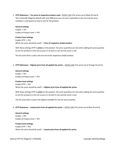2. **CPTP Behaviour – Tier price of respective product used – [DEMO LINK](https://demo-m2-1.best4mage-demo.com/cptp-tier-price-of-respective-product-used.html)** (Tier prices set at Black XS and S) This is basically Magento default with only difference you can put in quantities in the mix and tier price condition is met based on total in cart for the product.

#### **General settings**

Enable -> YES Enable at Product Level -> YES

#### **Product level settings**

Enable CPTP -> YES Which tier price should be used? -> **Price of respective simple product**

With these settings CPTP is **active** on the product. Tier price quantities are met when adding tier price quantity to cart for products in the mix so put in 5 of each in cart and tier price is met.

The tier price that is used is the one set at the respective simple product.

3. **CPTP Behaviour – Highest price from all applied tier prices – [DEMO LINK](https://demo-m2-1.best4mage-demo.com/cptp-highest-price-from-all-applied-tier-prices-used.html)** (Tier prices set at Orange XS and S).

**General settings** Enable -> YES Enable at Product Level -> YES

#### **Product level settings**

Enable CPTP -> YES

Which tier price should be used? -> **Highest price from all applied tier prices**

With these settings CPTP is **active** on the product. Tier price quantities are met when adding tier price quantity to cart for products in the mix so put in 5 of each in cart and tier price is met.

The tier price that is used is the highest available for the tier price quantity.

4. **CPTP Behaviour – Lowest price from all applied tier prices – [DEMO LINK](https://demo-m2-1.best4mage-demo.com/cptp-lowest-price-from-all-applied-tier-prices-used.html)** (Tier prices set at Blue XS and S).

### **General settings** Enable -> YES

Enable at Product Level -> YES

#### **Product level settings**

Enable CPTP -> YES Which tier price should be used? -> **Lowest price from all applied tier prices**